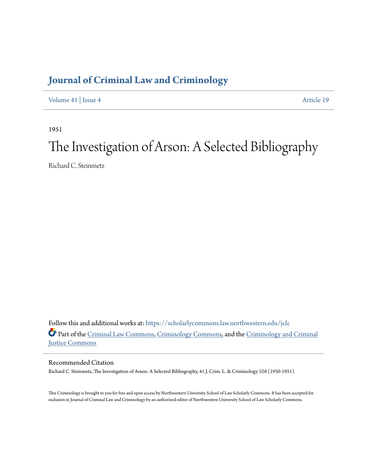# **[Journal of Criminal Law and Criminology](https://scholarlycommons.law.northwestern.edu/jclc?utm_source=scholarlycommons.law.northwestern.edu%2Fjclc%2Fvol41%2Fiss4%2F19&utm_medium=PDF&utm_campaign=PDFCoverPages)**

[Volume 41](https://scholarlycommons.law.northwestern.edu/jclc/vol41?utm_source=scholarlycommons.law.northwestern.edu%2Fjclc%2Fvol41%2Fiss4%2F19&utm_medium=PDF&utm_campaign=PDFCoverPages) | [Issue 4](https://scholarlycommons.law.northwestern.edu/jclc/vol41/iss4?utm_source=scholarlycommons.law.northwestern.edu%2Fjclc%2Fvol41%2Fiss4%2F19&utm_medium=PDF&utm_campaign=PDFCoverPages) [Article 19](https://scholarlycommons.law.northwestern.edu/jclc/vol41/iss4/19?utm_source=scholarlycommons.law.northwestern.edu%2Fjclc%2Fvol41%2Fiss4%2F19&utm_medium=PDF&utm_campaign=PDFCoverPages)

1951

# The Investigation of Arson: A Selected Bibliography

Richard C. Steinmetz

Follow this and additional works at: [https://scholarlycommons.law.northwestern.edu/jclc](https://scholarlycommons.law.northwestern.edu/jclc?utm_source=scholarlycommons.law.northwestern.edu%2Fjclc%2Fvol41%2Fiss4%2F19&utm_medium=PDF&utm_campaign=PDFCoverPages) Part of the [Criminal Law Commons](http://network.bepress.com/hgg/discipline/912?utm_source=scholarlycommons.law.northwestern.edu%2Fjclc%2Fvol41%2Fiss4%2F19&utm_medium=PDF&utm_campaign=PDFCoverPages), [Criminology Commons](http://network.bepress.com/hgg/discipline/417?utm_source=scholarlycommons.law.northwestern.edu%2Fjclc%2Fvol41%2Fiss4%2F19&utm_medium=PDF&utm_campaign=PDFCoverPages), and the [Criminology and Criminal](http://network.bepress.com/hgg/discipline/367?utm_source=scholarlycommons.law.northwestern.edu%2Fjclc%2Fvol41%2Fiss4%2F19&utm_medium=PDF&utm_campaign=PDFCoverPages) [Justice Commons](http://network.bepress.com/hgg/discipline/367?utm_source=scholarlycommons.law.northwestern.edu%2Fjclc%2Fvol41%2Fiss4%2F19&utm_medium=PDF&utm_campaign=PDFCoverPages)

Recommended Citation

Richard C. Steinmetz, The Investigation of Arson: A Selected Bibliography, 41 J. Crim. L. & Criminology 528 (1950-1951)

This Criminology is brought to you for free and open access by Northwestern University School of Law Scholarly Commons. It has been accepted for inclusion in Journal of Criminal Law and Criminology by an authorized editor of Northwestern University School of Law Scholarly Commons.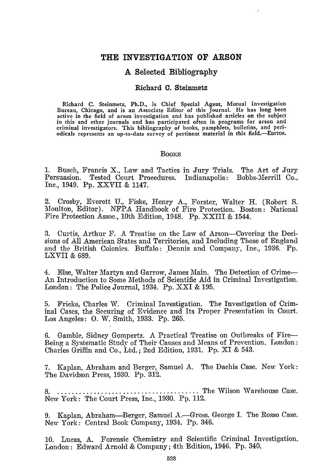# THE INVESTIGATION OF **ARSON**

# **A** Selected Bibliography

#### Richard **C.** Steinmetz

Richard **C.** Steinmetz, Ph.D., is Chief Special Agent, Mutual Investigation Bureau, Chicago, and is an Associate Editor of this Journal. He has long been active in the field of arson investigation and has published articles on the subject in this and other journals and has participated often in programs for arson and criminal investigators. This bibliography of books, pamphlets, bulletins, and periodicals represents an up-to-date survey of pertinent material in this field.-EDITOR.

#### **Books**

**1.** Busch, Francis X., Law and Tactics in Jury Trials. The Art of Jury Persuasion. Tested Court Procedures. Indianapolis: Bobbs-Merrill Co., Inc., 1949. Pp. XXVII & 1147.

2. Crosby, Everett U., Fiske, Henry A., Forster, Walter H. (Robert S. Moulton, Editor). NFPA Handbook of Fire Protection. Boston: National Fire Protection Assoc., 10th Edition, 1948. **Pp.** XXIII & 1544.

3. Curtis, Arthur F. A Treatise on the Law of Arson-Covering the Decisions of All American States and Territories, and Including Those of England and the British Colonies. Buffalo: Dennis and Company, Inc., 1936. Pp. LXVII & 689.

4. Else, Walter Martyn and Garrow, James Main. The Detection of Crime-An Introduction to Some Methods of Scientific Aid in Criminal Investigation. London: The Police Journal, 1934. **Pp.** XXI & 195.

5. Fricke, Charles W. Criminal Investigation. The Investigation of Criminal Cases, the Securing of Evidence and Its Proper Presentation in Court. Los Angeles: **0. W1.** Smith, 1933. **Pp.** 265.

6. Gamble, Sidney Gompertz. A Practical Treatise on Outbreaks of Fire-Being a Systematic Study of Their Causes and Means of Prevention. London: Charles Griffin and Co., Ltd.; 2nd Edition, 1931. Pp. XI & 543.

7. Kaplan, Abraham and Berger, Samuel A. The Dachis Case. New York: The Davidson Press, 1930. Pp. 312.

**8** ........................................ The Wilson Warehouse Case. New York: The Court Press, Inc., 1930. **Pp.** 112.

9. Kaplan, Abraham-Berger, Samuel A.-Gross, George I. The Rosso Case. New York: Central Book Company, 1934. **Pp.** 346.

**10.** Lucas, A. Forensic Chemistry and Scientific Criminal Investigation. London: Edward Arnold & Company; 4th Edition, 1946. Pp. 340.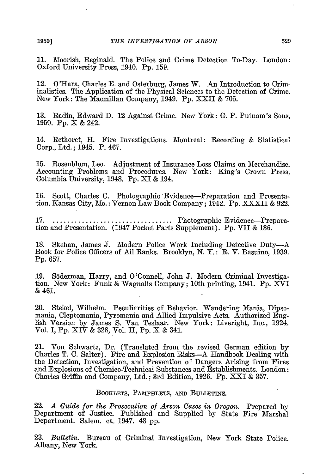11. Moorish, Reginald. The Police and Crime Detection To-Day. London: Oxford University Press, 1940. Pp. 159.

12. O'Hara, Charles **E.** and Osterburg, James W. An Introduction to Criminalistics. The Application of the Physical Sciences to the Detection of Crime. New York: The Macmillan Company, 1949. Pp. XXII & 705.

13. Radin, Edward D. 12 Against Crime. New York: G. P. Putnam's Sons, 1950. Pp. X & 242.

14. Rethoret, H. Fire Investigations. Montreal: Recording & Statistical Corp., Ltd.; 1945. P. 467.

15. Rosenblum, Leo. Adjustment of Insurance Loss Claims on Merchandise. Accounting Problems and Procedures. New York: King's Crown Press, Columbia University, 1948. Pp. XI & 194.

16. Scott, Charles C. Photographic 'Evidence-Preparation and Presentation. Kansas City, Mo.: Vernon Law Book Company; 1942. Pp. XXXII & 922.

17 .................................. Photographic Evidence-Preparation and Presentation. (1947 Pocket Parts Supplement). Pp. VII & 136.

18. Skehan, James J. Modern Police Work Including Detective Duty-A Book for Police Officers of All Ranks. Brooklyn, N. Y.: R. V. Basuino, 1939. Pp. 657.

19. Sderman, Harry, and O'Connell, John **J.** Modern Criminal Investigation. New York: Funk & Wagnalls Company; 10th printing, 1941. Pp. XVI & 461.

20. Stekel, Wilhelm. Peculiarities of Behavior. Wandering Mania, Dipsomania, Cleptomania, Pyromania and Allied Impulsive Acts. Authorized English Version by James S. Van Teslaar. New York: Liveright, Inc., 1924. Vol. I, Pp. XIV & 328, Vol. II, Pp. X & 341.

21. Von Schwartz, Dr. (Translated from the revised German edition by Charles T. C. Salter). Fire and Explosion Risks--A Handbook Dealing with the Detection, Investigation, and Prevention of Dangers Arising from Fires and Explosions of Chemico-Technical Substances and Establishments. London: Charles Griffin and Company, Ltd.; 3rd Edition, 1926. Pp. XXI & 357.

### **BOOKLETS,** PAMPHLETS, **AND** BULLETiNS.

22. *A Guide for the Prosecution of Arson Gases in Oregon.* Prepared by Department of Justice. Published and Supplied by State Fire Marshal Department. Salem. ca. 1947. 43 pp.

23. *Bulletin.* Bureau of Criminal Investigation, New York State Police. Albany, New York.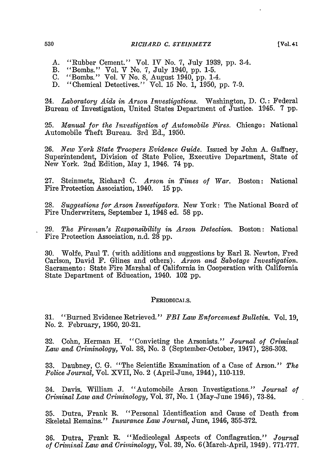- A. "Rubber Cement." Vol. IV No. **7,** July 1939, pp. 3-4.
- B. "Bombs." Vol. V No. *7,* July 1940, pp. 1-5.
- C. "Bombs." Vol. V No. 8, August 1940, pp. 1-4.
- D. "Chemical Detectives." Vol. 15 No. 1, 1950, pp. 7-9.

24. *Laboratory Aids in Arson Investigations.* Washington, D. C.: Federal Bureau of Investigation, United States Department of Justice. 1945. 7 pp.

25. *Manual for the Investigation of Automobile Fires.* Chicago: National Automobile Theft Bureau. 3rd Ed., 1950.

26. *New York State Troopers Evidence Guide.* Issued by John A. Gaffney, Superintendent, Division of State Police, Executive Department, State of New York. 2nd Edition, May 1, 1946. 74 pp.

27. Steinmetz, Richard C. *Arson in Times of War.* Boston: National Fire Protection Association, 1940. 15 pp.

28. *Suggestions for Arson Investigators.* New York: The National Board of Fire Underwriters, September 1, 1948 ed. 58 pp.

29. *The Fireman's Responsibility in Arson Detection.* Boston: National Fire Protection Association, n.d. 28 pp.

30. Wolfe, Paul T. (with additions and suggestions by Earl R. Newton, Fred Carlson, David F. Glines and others). *Arson and Sabotage Investigation.* Sacramento: State Fire Marshal of California in Cooperation with California State Department of Education, 1940. 102 pp.

#### PERIODICALS.

**31.** "Burned Evidence Retrieved." *FBI Law Enforcement Bulletin.* Vol. **19,** No. 2. February, 1950, 20-21.

**32.** Cohn, Herman H. "Convicting the Arsonists." *Journal of Criminal Law and Criminology,* Vol. 38, No. 3 (September-October, 1947), 286-303.

33. Daubney, C. G. "The Scientific Examination of a Case of Arson." *The Police Journal,* Vol. XVII, No. 2 (April-June, 1944), 110-119.

34. Davis. William J. "Automobile Arson Investigations." *Journal of Criminal Law and Criminology,* Vol. 37, No. 1 (May-June 1946), 73-84.

35. Dutra, Frank R. "Personal Identification and Cause of Death from Skeletal Remains." *Insurance Law Journal,* June, 1946, 355-372.

36. Dutra, Frank R. "Medicolegal Aspects of Conflagration." *Journal of Criminal Law and Criminology,* Vol. 39, No. 6 (March-April, 1949). 771-777.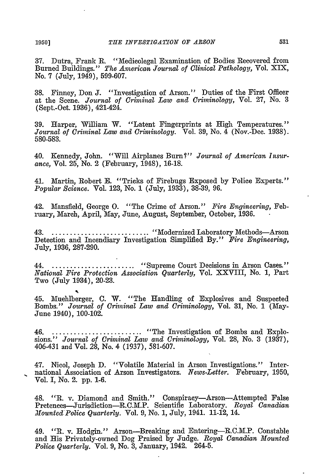37. Dutra, Frank R. "Medicolegal Examination of Bodies Recovered from Burned Buildings." *The American Journal of Clinical Pathology,* Vol. XIX, No. 7 (July, 1949), 599-607.

38. Finney, Don J. "Investigation of Arson." Duties of the First Officer at the Scene. *Journal of Criminal Law and Criminology,* Vol. 27, No. 3 (Sept.-Oct. 1936), 421-424.

39. Harper, William W. "Latent Fingerprints at High Temperatures." *Journal of Criminal Law and Criminology.* Vol. 39, No. 4 (Nov.-Dec. 1938). 580-583.

40. Kennedy, John. "Will Airplanes Burn?" Journal of American Insur*ance,* Vol. 25, No. 2 (February, 1948), 16-18.

41. Martin, Robert E. "Tricks of Firebugs Exposed by Police Experts." *Popular Science.* Vol. 123, No. 1 (July, 1933), 38-39, 96.

42. Mansfield, George **0.** "The Crime of Arson." *Fire Engineering,* February, March, April, May, June, August, September, October, 1936.

43 ............................ ".Modernized Laboratory Methods-Arson Detection and Incendiary Investigation Simplified By." *Fire Engineering,* July, 1936, 287-290.

44 ........................ "Supreme Court Decisions in Arson Cases." *National Fire Protection Association Quarterly,* Vol. XXVIII, No. **1,** Part Two (July 1934), 20-23.

45. Muehlberger, C. W. "The Handling of Explosives and Suspected Bombs." *Journal of Criminal Law and Criminology,* Vol. 31, No. 1 (May-June 1940), 100-102.

46 .......................... .."The Investigation of Bombs and Explosions." *Journal of Criminal Law and Criminology,* Vol. 28, No. 3 (1937). 406-431 and Vol. 28, No. 4 (1937), 581-607.

47. Nicol, Joseph D. "Volatile Material in Arson Investigations." International Association of Arson Investigators. *News-Letter.* February, 1950, Vol. I, No. 2. pp. 1-6.

48. *"R.* v. Diamond and Smith." Conspiracy-Arson-Attempted False Pretences-Jurisdiction-R.C.Ml.P. Scientific Laboratory. *Royal Canadian Mounted Police Quarterly.* Vol. 9, No. 1, July, 1941. 11-12, 14.

49. *"R.* v. Hodgin." Arson-Breaking and Entering-R.C.M.P. Constable and His Privately-owned Dog Praised by Judge. *Royal Canadian Mounted Police Quarterly.* Vol. 9, No. 3, January, 1942. 264-5.